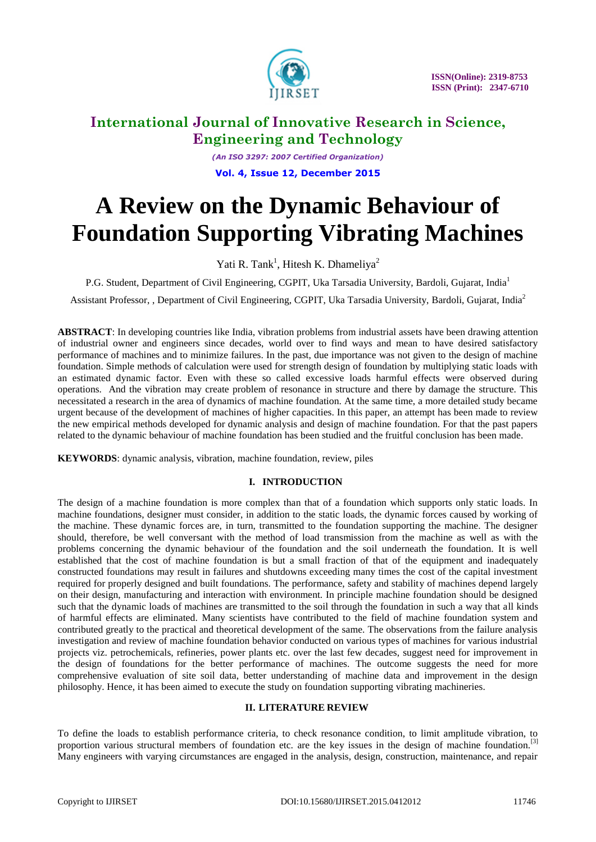

*(An ISO 3297: 2007 Certified Organization)* **Vol. 4, Issue 12, December 2015**

# **A Review on the Dynamic Behaviour of Foundation Supporting Vibrating Machines**

Yati R. Tank<sup>1</sup>, Hitesh K. Dhameliya<sup>2</sup>

P.G. Student, Department of Civil Engineering, CGPIT, Uka Tarsadia University, Bardoli, Gujarat, India<sup>1</sup>

Assistant Professor, , Department of Civil Engineering, CGPIT, Uka Tarsadia University, Bardoli, Gujarat, India<sup>2</sup>

**ABSTRACT**: In developing countries like India, vibration problems from industrial assets have been drawing attention of industrial owner and engineers since decades, world over to find ways and mean to have desired satisfactory performance of machines and to minimize failures. In the past, due importance was not given to the design of machine foundation. Simple methods of calculation were used for strength design of foundation by multiplying static loads with an estimated dynamic factor. Even with these so called excessive loads harmful effects were observed during operations. And the vibration may create problem of resonance in structure and there by damage the structure. This necessitated a research in the area of dynamics of machine foundation. At the same time, a more detailed study became urgent because of the development of machines of higher capacities. In this paper, an attempt has been made to review the new empirical methods developed for dynamic analysis and design of machine foundation. For that the past papers related to the dynamic behaviour of machine foundation has been studied and the fruitful conclusion has been made.

**KEYWORDS**: dynamic analysis, vibration, machine foundation, review, piles

## **I. INTRODUCTION**

The design of a machine foundation is more complex than that of a foundation which supports only static loads. In machine foundations, designer must consider, in addition to the static loads, the dynamic forces caused by working of the machine. These dynamic forces are, in turn, transmitted to the foundation supporting the machine. The designer should, therefore, be well conversant with the method of load transmission from the machine as well as with the problems concerning the dynamic behaviour of the foundation and the soil underneath the foundation. It is well established that the cost of machine foundation is but a small fraction of that of the equipment and inadequately constructed foundations may result in failures and shutdowns exceeding many times the cost of the capital investment required for properly designed and built foundations. The performance, safety and stability of machines depend largely on their design, manufacturing and interaction with environment. In principle machine foundation should be designed such that the dynamic loads of machines are transmitted to the soil through the foundation in such a way that all kinds of harmful effects are eliminated. Many scientists have contributed to the field of machine foundation system and contributed greatly to the practical and theoretical development of the same. The observations from the failure analysis investigation and review of machine foundation behavior conducted on various types of machines for various industrial projects viz. petrochemicals, refineries, power plants etc. over the last few decades, suggest need for improvement in the design of foundations for the better performance of machines. The outcome suggests the need for more comprehensive evaluation of site soil data, better understanding of machine data and improvement in the design philosophy. Hence, it has been aimed to execute the study on foundation supporting vibrating machineries.

### **II. LITERATURE REVIEW**

To define the loads to establish performance criteria, to check resonance condition, to limit amplitude vibration, to proportion various structural members of foundation etc. are the key issues in the design of machine foundation.<sup>[3]</sup> Many engineers with varying circumstances are engaged in the analysis, design, construction, maintenance, and repair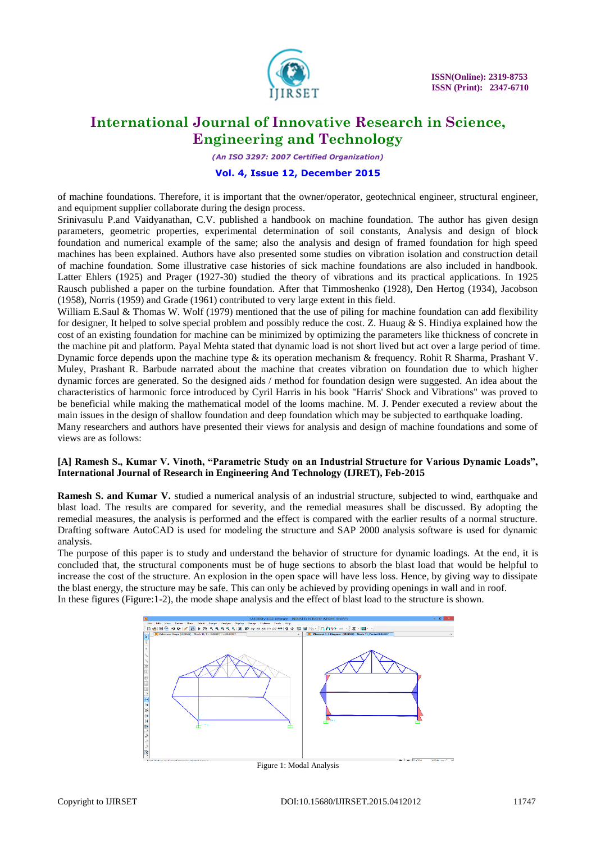

*(An ISO 3297: 2007 Certified Organization)*

### **Vol. 4, Issue 12, December 2015**

of machine foundations. Therefore, it is important that the owner/operator, geotechnical engineer, structural engineer, and equipment supplier collaborate during the design process.

Srinivasulu P.and Vaidyanathan, C.V. published a handbook on machine foundation. The author has given design parameters, geometric properties, experimental determination of soil constants, Analysis and design of block foundation and numerical example of the same; also the analysis and design of framed foundation for high speed machines has been explained. Authors have also presented some studies on vibration isolation and construction detail of machine foundation. Some illustrative case histories of sick machine foundations are also included in handbook. Latter Ehlers (1925) and Prager (1927-30) studied the theory of vibrations and its practical applications. In 1925 Rausch published a paper on the turbine foundation. After that Timmoshenko (1928), Den Hertog (1934), Jacobson (1958), Norris (1959) and Grade (1961) contributed to very large extent in this field.

William E.Saul & Thomas W. Wolf (1979) mentioned that the use of piling for machine foundation can add flexibility for designer, It helped to solve special problem and possibly reduce the cost. Z. Huaug & S. Hindiya explained how the cost of an existing foundation for machine can be minimized by optimizing the parameters like thickness of concrete in the machine pit and platform. Payal Mehta stated that dynamic load is not short lived but act over a large period of time. Dynamic force depends upon the machine type & its operation mechanism & frequency. Rohit R Sharma, Prashant V. Muley, Prashant R. Barbude narrated about the machine that creates vibration on foundation due to which higher dynamic forces are generated. So the designed aids / method for foundation design were suggested. An idea about the characteristics of harmonic force introduced by Cyril Harris in his book "Harris' Shock and Vibrations" was proved to be beneficial while making the mathematical model of the looms machine. M. J. Pender executed a review about the main issues in the design of shallow foundation and deep foundation which may be subjected to earthquake loading. Many researchers and authors have presented their views for analysis and design of machine foundations and some of views are as follows:

### **[A] Ramesh S., Kumar V. Vinoth, "Parametric Study on an Industrial Structure for Various Dynamic Loads", International Journal of Research in Engineering And Technology (IJRET), Feb-2015**

**Ramesh S. and Kumar V.** studied a numerical analysis of an industrial structure, subjected to wind, earthquake and blast load. The results are compared for severity, and the remedial measures shall be discussed. By adopting the remedial measures, the analysis is performed and the effect is compared with the earlier results of a normal structure. Drafting software AutoCAD is used for modeling the structure and SAP 2000 analysis software is used for dynamic analysis.

The purpose of this paper is to study and understand the behavior of structure for dynamic loadings. At the end, it is concluded that, the structural components must be of huge sections to absorb the blast load that would be helpful to increase the cost of the structure. An explosion in the open space will have less loss. Hence, by giving way to dissipate the blast energy, the structure may be safe. This can only be achieved by providing openings in wall and in roof. In these figures (Figure:1-2), the mode shape analysis and the effect of blast load to the structure is shown.

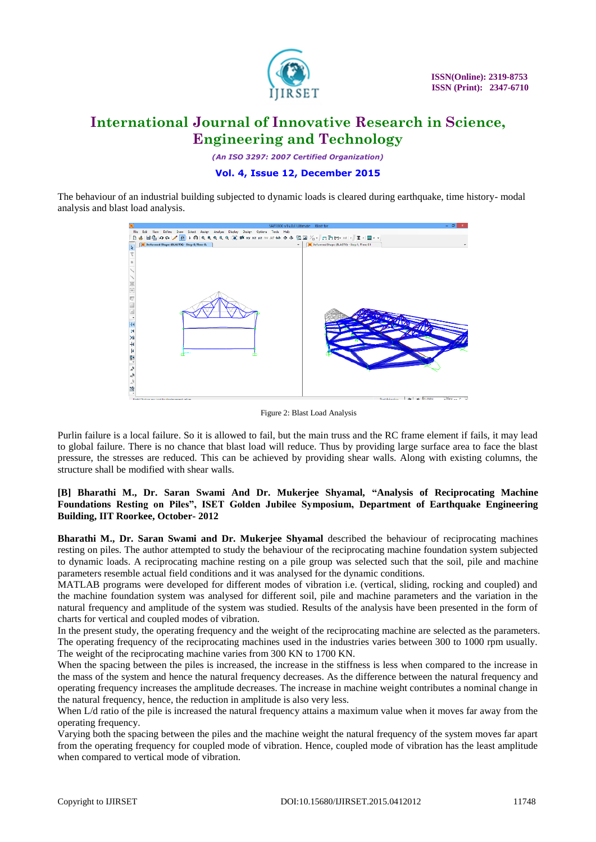

*(An ISO 3297: 2007 Certified Organization)*

### **Vol. 4, Issue 12, December 2015**

The behaviour of an industrial building subjected to dynamic loads is cleared during earthquake, time history- modal analysis and blast load analysis.



Figure 2: Blast Load Analysis

Purlin failure is a local failure. So it is allowed to fail, but the main truss and the RC frame element if fails, it may lead to global failure. There is no chance that blast load will reduce. Thus by providing large surface area to face the blast pressure, the stresses are reduced. This can be achieved by providing shear walls. Along with existing columns, the structure shall be modified with shear walls.

### **[B] Bharathi M., Dr. Saran Swami And Dr. Mukerjee Shyamal, "Analysis of Reciprocating Machine Foundations Resting on Piles", ISET Golden Jubilee Symposium, Department of Earthquake Engineering Building, IIT Roorkee, October- 2012**

**Bharathi M., Dr. Saran Swami and Dr. Mukerjee Shyamal** described the behaviour of reciprocating machines resting on piles. The author attempted to study the behaviour of the reciprocating machine foundation system subjected to dynamic loads. A reciprocating machine resting on a pile group was selected such that the soil, pile and machine parameters resemble actual field conditions and it was analysed for the dynamic conditions.

MATLAB programs were developed for different modes of vibration i.e. (vertical, sliding, rocking and coupled) and the machine foundation system was analysed for different soil, pile and machine parameters and the variation in the natural frequency and amplitude of the system was studied. Results of the analysis have been presented in the form of charts for vertical and coupled modes of vibration.

In the present study, the operating frequency and the weight of the reciprocating machine are selected as the parameters. The operating frequency of the reciprocating machines used in the industries varies between 300 to 1000 rpm usually. The weight of the reciprocating machine varies from 300 KN to 1700 KN.

When the spacing between the piles is increased, the increase in the stiffness is less when compared to the increase in the mass of the system and hence the natural frequency decreases. As the difference between the natural frequency and operating frequency increases the amplitude decreases. The increase in machine weight contributes a nominal change in the natural frequency, hence, the reduction in amplitude is also very less.

When L/d ratio of the pile is increased the natural frequency attains a maximum value when it moves far away from the operating frequency.

Varying both the spacing between the piles and the machine weight the natural frequency of the system moves far apart from the operating frequency for coupled mode of vibration. Hence, coupled mode of vibration has the least amplitude when compared to vertical mode of vibration.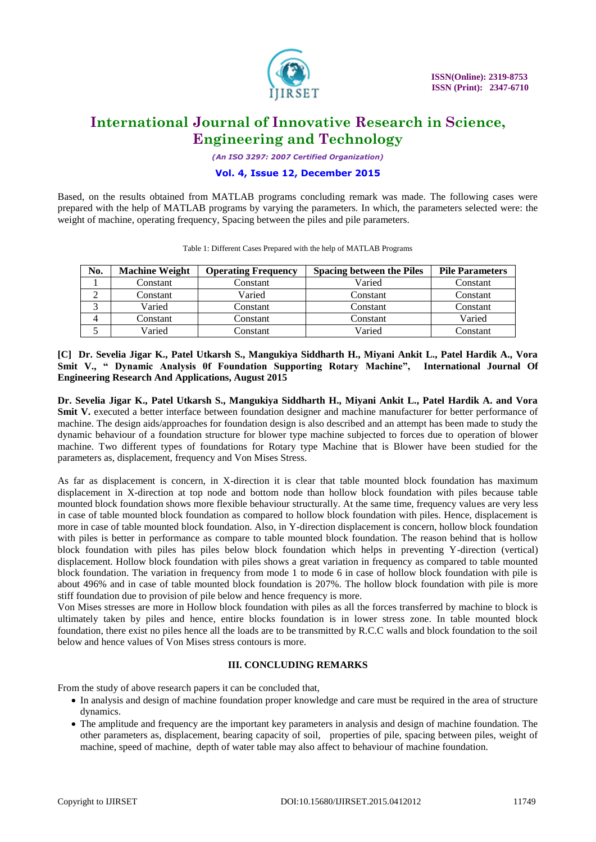

*(An ISO 3297: 2007 Certified Organization)*

### **Vol. 4, Issue 12, December 2015**

Based, on the results obtained from MATLAB programs concluding remark was made. The following cases were prepared with the help of MATLAB programs by varying the parameters. In which, the parameters selected were: the weight of machine, operating frequency, Spacing between the piles and pile parameters.

| No. | <b>Machine Weight</b> | <b>Operating Frequency</b> | <b>Spacing between the Piles</b> | <b>Pile Parameters</b> |
|-----|-----------------------|----------------------------|----------------------------------|------------------------|
|     | Constant              | Constant                   | Varied                           | Constant               |
|     | Constant              | Varied                     | Constant                         | Constant               |
|     | Varied                | Constant                   | Constant                         | Constant               |
|     | Constant              | Constant                   | Constant                         | Varied                 |
|     | Varied                | `onstant_                  | Varied                           | Constant               |

Table 1: Different Cases Prepared with the help of MATLAB Programs

### **[C] Dr. Sevelia Jigar K., Patel Utkarsh S., Mangukiya Siddharth H., Miyani Ankit L., Patel Hardik A., Vora Smit V., " Dynamic Analysis 0f Foundation Supporting Rotary Machine", International Journal Of Engineering Research And Applications, August 2015**

**Dr. Sevelia Jigar K., Patel Utkarsh S., Mangukiya Siddharth H., Miyani Ankit L., Patel Hardik A. and Vora Smit V.** executed a better interface between foundation designer and machine manufacturer for better performance of machine. The design aids/approaches for foundation design is also described and an attempt has been made to study the dynamic behaviour of a foundation structure for blower type machine subjected to forces due to operation of blower machine. Two different types of foundations for Rotary type Machine that is Blower have been studied for the parameters as, displacement, frequency and Von Mises Stress.

As far as displacement is concern, in X-direction it is clear that table mounted block foundation has maximum displacement in X-direction at top node and bottom node than hollow block foundation with piles because table mounted block foundation shows more flexible behaviour structurally. At the same time, frequency values are very less in case of table mounted block foundation as compared to hollow block foundation with piles. Hence, displacement is more in case of table mounted block foundation. Also, in Y-direction displacement is concern, hollow block foundation with piles is better in performance as compare to table mounted block foundation. The reason behind that is hollow block foundation with piles has piles below block foundation which helps in preventing Y-direction (vertical) displacement. Hollow block foundation with piles shows a great variation in frequency as compared to table mounted block foundation. The variation in frequency from mode 1 to mode 6 in case of hollow block foundation with pile is about 496% and in case of table mounted block foundation is 207%. The hollow block foundation with pile is more stiff foundation due to provision of pile below and hence frequency is more.

Von Mises stresses are more in Hollow block foundation with piles as all the forces transferred by machine to block is ultimately taken by piles and hence, entire blocks foundation is in lower stress zone. In table mounted block foundation, there exist no piles hence all the loads are to be transmitted by R.C.C walls and block foundation to the soil below and hence values of Von Mises stress contours is more.

### **III. CONCLUDING REMARKS**

From the study of above research papers it can be concluded that,

- In analysis and design of machine foundation proper knowledge and care must be required in the area of structure dynamics.
- The amplitude and frequency are the important key parameters in analysis and design of machine foundation. The other parameters as, displacement, bearing capacity of soil, properties of pile, spacing between piles, weight of machine, speed of machine, depth of water table may also affect to behaviour of machine foundation.